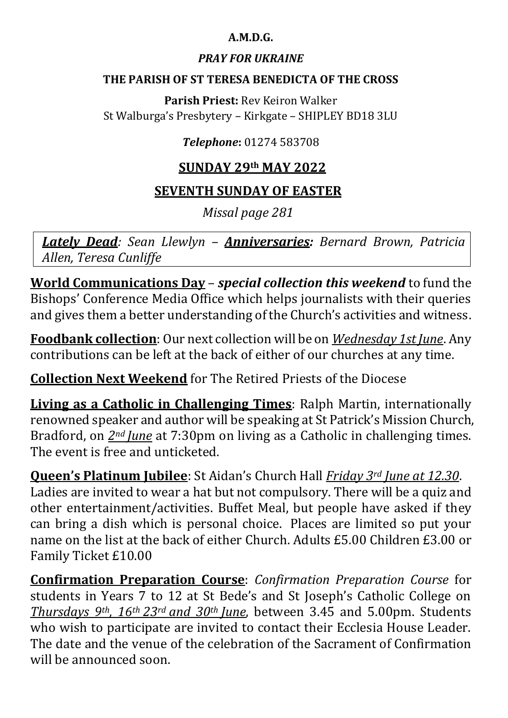## **A.M.D.G.**

## *PRAY FOR UKRAINE*

#### **THE PARISH OF ST TERESA BENEDICTA OF THE CROSS**

**Parish Priest:** Rev Keiron Walker St Walburga's Presbytery – Kirkgate – SHIPLEY BD18 3LU

## *Telephone***:** 01274 583708

# **SUNDAY 29th MAY 2022**

## **SEVENTH SUNDAY OF EASTER**

*Missal page 281*

*Lately Dead: Sean Llewlyn – Anniversaries: Bernard Brown, Patricia Allen, Teresa Cunliffe* 

**World Communications Day** – *special collection this weekend* to fund the Bishops' Conference Media Office which helps journalists with their queries and gives them a better understanding of the Church's activities and witness.

**Foodbank collection**: Our next collection will be on *Wednesday 1st June*. Any contributions can be left at the back of either of our churches at any time.

**Collection Next Weekend** for The Retired Priests of the Diocese

**Living as a Catholic in Challenging Times**: Ralph Martin, internationally renowned speaker and author will be speaking at St Patrick's Mission Church, Bradford, on *2nd June* at 7:30pm on living as a Catholic in challenging times. The event is free and unticketed.

**Queen's Platinum Jubilee**: St Aidan's Church Hall *Friday 3rd June at 12.30*. Ladies are invited to wear a hat but not compulsory. There will be a quiz and other entertainment/activities. Buffet Meal, but people have asked if they can bring a dish which is personal choice. Places are limited so put your name on the list at the back of either Church. Adults £5.00 Children £3.00 or Family Ticket £10.00

**Confirmation Preparation Course**: *Confirmation Preparation Course* for students in Years 7 to 12 at St Bede's and St Joseph's Catholic College on *Thursdays 9th, 16th 23rd and 30th June*, between 3.45 and 5.00pm. Students who wish to participate are invited to contact their Ecclesia House Leader. The date and the venue of the celebration of the Sacrament of Confirmation will be announced soon.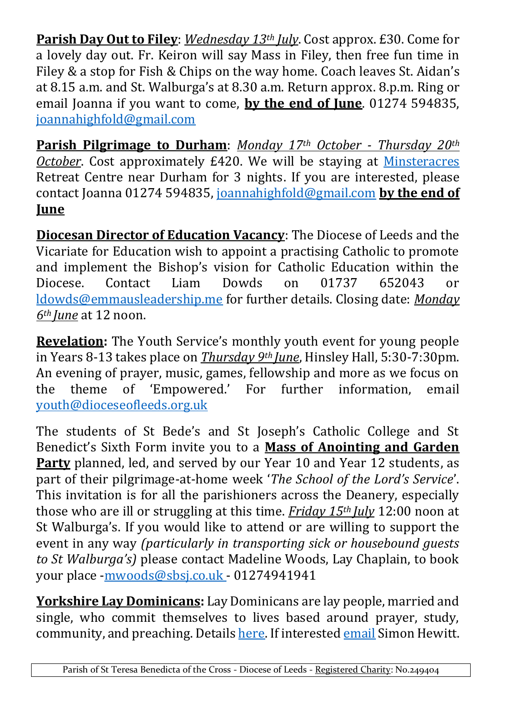**Parish Day Out to Filey**: *Wednesday 13th July*. Cost approx. £30. Come for a lovely day out. Fr. Keiron will say Mass in Filey, then free fun time in Filey & a stop for Fish & Chips on the way home. Coach leaves St. Aidan's at 8.15 a.m. and St. Walburga's at 8.30 a.m. Return approx. 8.p.m. Ring or email Joanna if you want to come, **by the end of June**. 01274 594835, [joannahighfold@gmail.com](https://d.docs.live.net/4c265d91f62663a1/00%20-%20St%20Teresa%20Benedicta%20of%20the%20Cross/Bulletin/Shared%20Folder/2022/joannahighfold@gmail.com)

**Parish Pilgrimage to Durham**: *Monday 17th October - Thursday 20th October*. Cost approximately £420. We will be staying at [Minsteracres](minsteracres.org) Retreat Centre near Durham for 3 nights. If you are interested, please contact Joanna 01274 594835, [joannahighfold@gmail.com](https://d.docs.live.net/4c265d91f62663a1/00%20-%20St%20Teresa%20Benedicta%20of%20the%20Cross/Bulletin/Shared%20Folder/2022/joannahighfold@gmail.com) **by the end of June**

**Diocesan Director of Education Vacancy**: The Diocese of Leeds and the Vicariate for Education wish to appoint a practising Catholic to promote and implement the Bishop's vision for Catholic Education within the Diocese. Contact Liam Dowds on 01737 652043 or [ldowds@emmausleadership.me](http://ldowds@emmausleadership.me/) for further details. Closing date: *Monday 6th June* at 12 noon.

**Revelation:** The Youth Service's monthly youth event for young people in Years 8-13 takes place on *Thursday 9th June*, Hinsley Hall, 5:30-7:30pm. An evening of prayer, music, games, fellowship and more as we focus on the theme of 'Empowered.' For further information, email [youth@dioceseofleeds.org.uk](mailto:youth@dioceseofleeds.org.uk)

The students of St Bede's and St Joseph's Catholic College and St Benedict's Sixth Form invite you to a **Mass of Anointing and Garden Party** planned, led, and served by our Year 10 and Year 12 students, as part of their pilgrimage-at-home week '*The School of the Lord's Service*'. This invitation is for all the parishioners across the Deanery, especially those who are ill or struggling at this time. *Friday 15th July* 12:00 noon at St Walburga's. If you would like to attend or are willing to support the event in any way *(particularly in transporting sick or housebound guests to St Walburga's)* please contact Madeline Woods, Lay Chaplain, to book your place [-mwoods@sbsj.co.uk](mailto:mwoods@sbsj.co.uk) - 01274941941

**Yorkshire Lay Dominicans:** Lay Dominicans are lay people, married and single, who commit themselves to lives based around prayer, study, community, and preaching. Details [here.](http://laydominicans.org.uk/about-us/) If interested [email](mailto:s.hewitt@leeds.ac.uk) Simon Hewitt.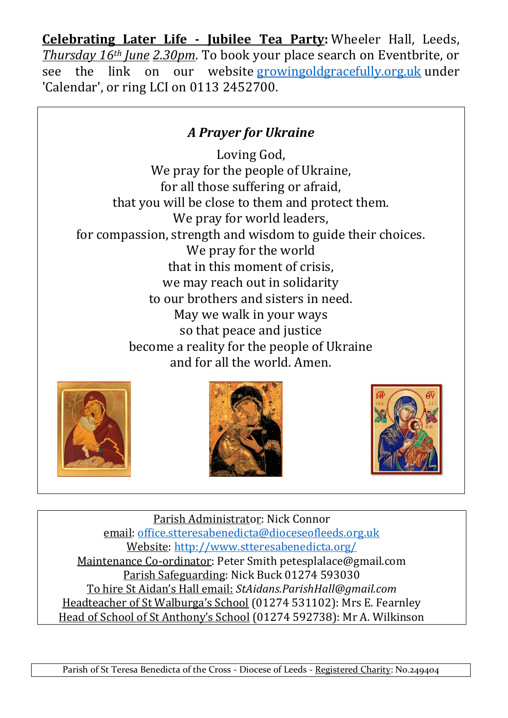**Celebrating Later Life - Jubilee Tea Party:** Wheeler Hall, Leeds, *Thursday 16th June 2.30pm*. To book your place search on Eventbrite, or see the link on our website [growingoldgracefully.org.uk](http://growingoldgracefully.org.uk/) under 'Calendar', or ring LCI on 0113 2452700.

# *A Prayer for Ukraine*

Loving God, We pray for the people of Ukraine, for all those suffering or afraid, that you will be close to them and protect them. We pray for world leaders. for compassion, strength and wisdom to guide their choices. We pray for the world that in this moment of crisis, we may reach out in solidarity to our brothers and sisters in need. May we walk in your ways so that peace and justice become a reality for the people of Ukraine and for all the world. Amen.







Parish Administrator: Nick Connor email: [office.stteresabenedicta@dioceseofleeds.org.uk](mailto:office.stteresabenedicta@dioceseofleeds.org.uk) Website: [http://www.stteresabenedicta.org/](https://l.facebook.com/l.php?u=http%3A%2F%2Fwww.stteresabenedicta.org%2F%3Ffbclid%3DIwAR3mrFRWjiZtQbSg_C_s8hbJJ-btsgTWzwEsMIBzZNhLPVSp95ld20JgiLE&h=AT37lkP6ds2Ho_escAF2mGR6jmEPK-E8gGIMp9Tyf3uN4FFXrMZYfaCXutVp3rQ7tH4WBE0fqPMXDfMzO4XH5-k_JXOs4Jc6uY2v6Hka4_kw0HSUtzz5fGcQDOoQbGf1apE) Maintenance Co-ordinator: Peter Smith petesplalace@gmail.com Parish Safeguarding: Nick Buck 01274 593030 To hire St Aidan's Hall email: *StAidans.ParishHall@gmail.com* Headteacher of St Walburga's School (01274 531102): Mrs E. Fearnley Head of School of St Anthony's School (01274 592738): Mr A. Wilkinson